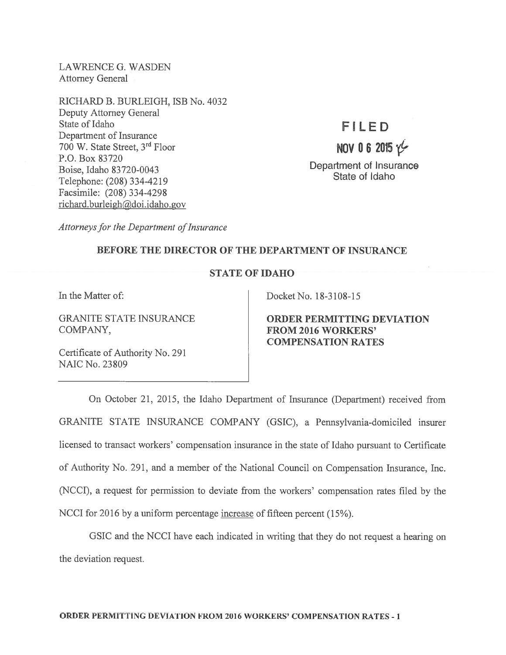LAWRENCE G. WASDEN Attorney General

RICHARD B. BURLEIGH, ISB No. 4032 Deputy Attorney General State of Idaho Department of Insurance 700 W. State Street, 3rd Floor P.O. Box 83720 Boise, Idaho 83720-0043 Telephone: (208) 334-4219 Facsimile: (208) 334-4298  $richard.burleigh@doi.idaho.gov$ 

# flLED

# NOV 06 2015  $\nu$

Department of Insurance State of Idaho

Attorneys for the Department of Insurance

## BEFORE THE DIRECTOR OF THE DEPARTMENT OF INSURANCE

### STATE OF IDAHO

COMPANY, FROM 2016 WORKERS'

Certificate of Authority No. 291 NAIC No. 23809

In the Matter of: Docket No. 18-3108-15

GRANITE STATE INSURANCE **ORDER PERMITTING DEVIATION** COMPENSATION RATES

On October 21, 2015, the Idaho Department of Insurance (Department) received from GRANITE STATE INSURANCE COMPANY (GSIC), <sup>a</sup> Pennsylvania-domiciled insurer licensed to transact workers' compensation insurance in the state of Idaho pursuan<sup>t</sup> to Certificate of Authority No. 291, and <sup>a</sup> member of the National Council on Compensation Insurance, Inc. (NCCI), <sup>a</sup> reques<sup>t</sup> for permission to deviate fiom the workers' compensation rates filed by the NCCI for 2016 by a uniform percentage increase of fifteen percent (15%).

GSIC and the NCCI have each indicated in writing that they do not reques<sup>t</sup> <sup>a</sup> hearing on the deviation request.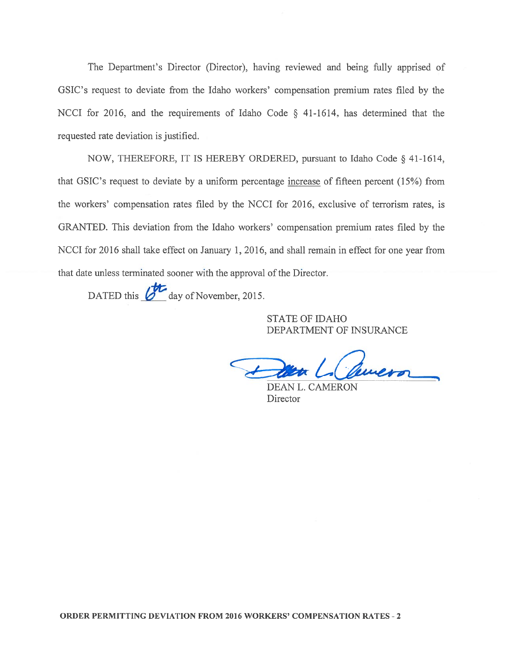The Department's Director (Director), having reviewed and being fully apprised of GSIC's reques<sup>t</sup> to deviate from the Idaho workers' compensation premium rates filed by the NCCI for 2016, and the requirements of Idaho Code § 41-1614, has determined that the requested rate deviation is justified.

NOW, THEREFORE, IT IS HEREBY ORDERED, pursuan<sup>t</sup> to Idaho Code § 41-1614, that GSIC's reques<sup>t</sup> to deviate by <sup>a</sup> uniform percentage increase of fifteen percen<sup>t</sup> (15%) from the workers' compensation rates filed by the NCCI for 2016, exclusive of terrorism rates, is GRANTED. This deviation from the Idaho workers' compensation premium rates filed by the NCCI for 2016 shall take effect on January 1, 2016, and shall remain in effect for one year from that date unless terminated sooner with the approval of the Director.

DATED this *G* day of November, 2015.

STATE OF IDAHO DEPARTMENT OF INSURANCE

revero

DEAN L. CAMERON **Director**